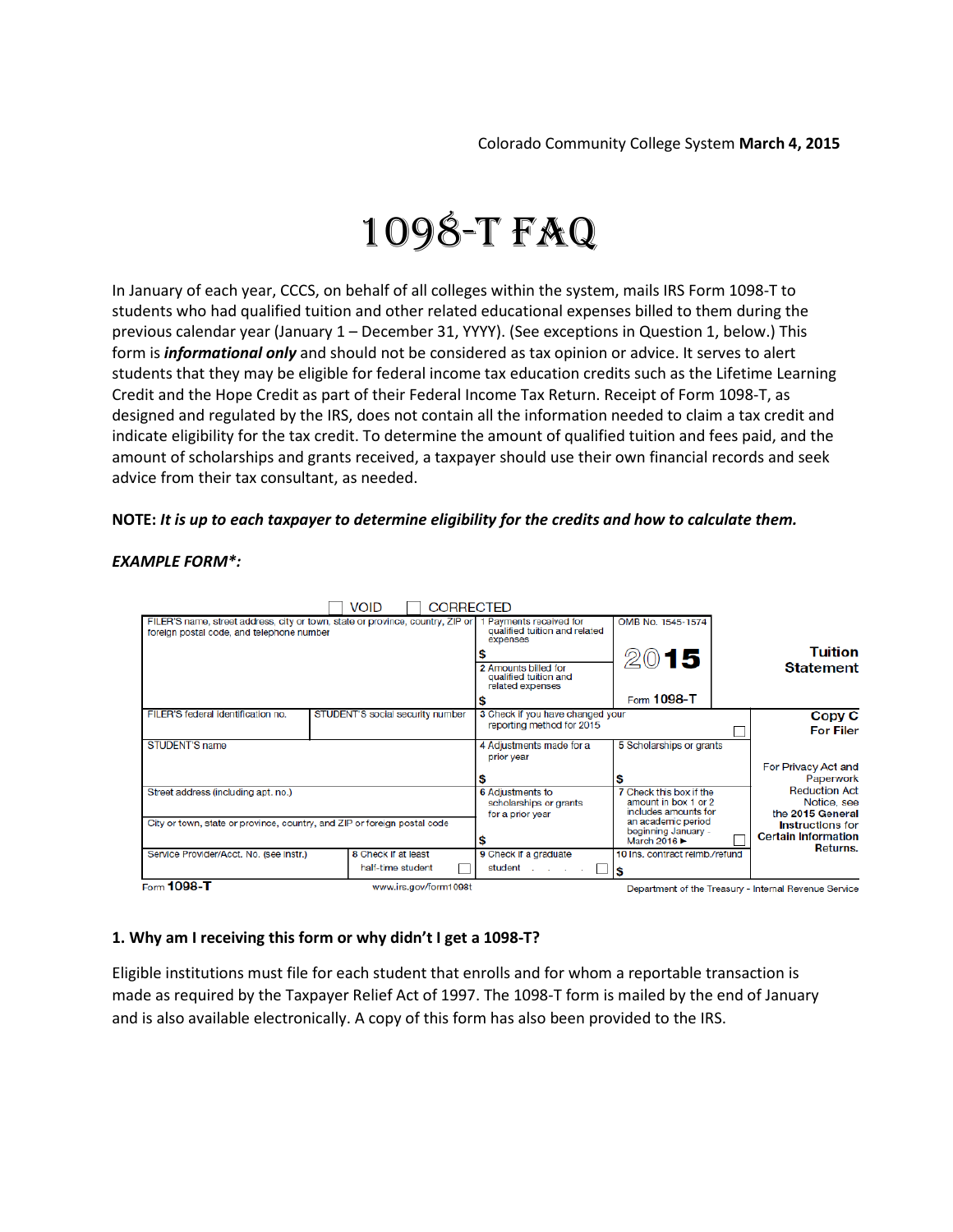# 1098-T FAQ

In January of each year, CCCS, on behalf of all colleges within the system, mails IRS Form 1098-T to students who had qualified tuition and other related educational expenses billed to them during the previous calendar year (January 1 – December 31, YYYY). (See exceptions in Question 1, below.) This form is *informational only* and should not be considered as tax opinion or advice. It serves to alert students that they may be eligible for federal income tax education credits such as the Lifetime Learning Credit and the Hope Credit as part of their Federal Income Tax Return. Receipt of Form 1098-T, as designed and regulated by the IRS, does not contain all the information needed to claim a tax credit and indicate eligibility for the tax credit. To determine the amount of qualified tuition and fees paid, and the amount of scholarships and grants received, a taxpayer should use their own financial records and seek advice from their tax consultant, as needed.

## **NOTE:** *It is up to each taxpayer to determine eligibility for the credits and how to calculate them.*



## *EXAMPLE FORM\*:*

# **1. Why am I receiving this form or why didn't I get a 1098-T?**

Eligible institutions must file for each student that enrolls and for whom a reportable transaction is made as required by the Taxpayer Relief Act of 1997. The 1098-T form is mailed by the end of January and is also available electronically. A copy of this form has also been provided to the IRS.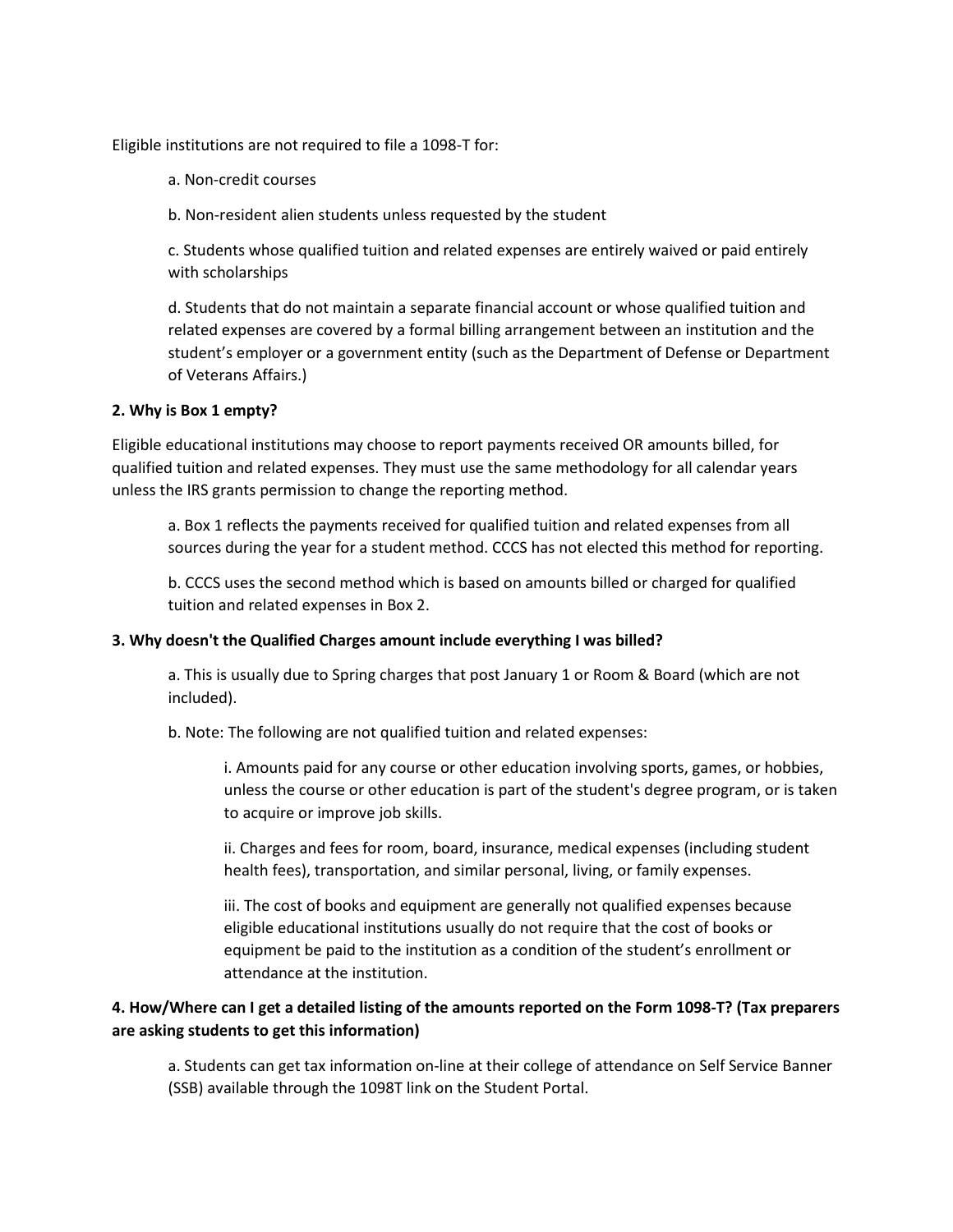Eligible institutions are not required to file a 1098-T for:

- a. Non-credit courses
- b. Non-resident alien students unless requested by the student

c. Students whose qualified tuition and related expenses are entirely waived or paid entirely with scholarships

d. Students that do not maintain a separate financial account or whose qualified tuition and related expenses are covered by a formal billing arrangement between an institution and the student's employer or a government entity (such as the Department of Defense or Department of Veterans Affairs.)

## **2. Why is Box 1 empty?**

Eligible educational institutions may choose to report payments received OR amounts billed, for qualified tuition and related expenses. They must use the same methodology for all calendar years unless the IRS grants permission to change the reporting method.

a. Box 1 reflects the payments received for qualified tuition and related expenses from all sources during the year for a student method. CCCS has not elected this method for reporting.

b. CCCS uses the second method which is based on amounts billed or charged for qualified tuition and related expenses in Box 2.

#### **3. Why doesn't the Qualified Charges amount include everything I was billed?**

a. This is usually due to Spring charges that post January 1 or Room & Board (which are not included).

b. Note: The following are not qualified tuition and related expenses:

i. Amounts paid for any course or other education involving sports, games, or hobbies, unless the course or other education is part of the student's degree program, or is taken to acquire or improve job skills.

ii. Charges and fees for room, board, insurance, medical expenses (including student health fees), transportation, and similar personal, living, or family expenses.

iii. The cost of books and equipment are generally not qualified expenses because eligible educational institutions usually do not require that the cost of books or equipment be paid to the institution as a condition of the student's enrollment or attendance at the institution.

# **4. How/Where can I get a detailed listing of the amounts reported on the Form 1098-T? (Tax preparers are asking students to get this information)**

a. Students can get tax information on-line at their college of attendance on Self Service Banner (SSB) available through the 1098T link on the Student Portal.